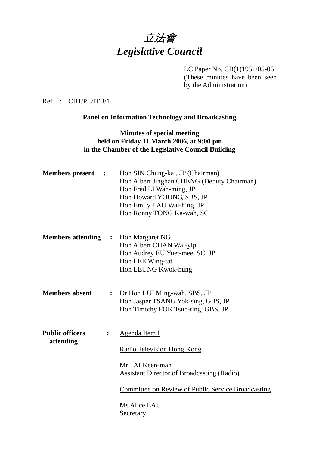

LC Paper No. CB(1)1951/05-06 (These minutes have been seen by the Administration)

Ref : CB1/PL/ITB/1

**Panel on Information Technology and Broadcasting** 

### **Minutes of special meeting held on Friday 11 March 2006, at 9:00 pm in the Chamber of the Legislative Council Building**

| <b>Members</b> present<br>$\ddot{\phantom{1}}$ |                | Hon SIN Chung-kai, JP (Chairman)<br>Hon Albert Jinghan CHENG (Deputy Chairman)<br>Hon Fred LI Wah-ming, JP<br>Hon Howard YOUNG, SBS, JP<br>Hon Emily LAU Wai-hing, JP<br>Hon Ronny TONG Ka-wah, SC            |
|------------------------------------------------|----------------|---------------------------------------------------------------------------------------------------------------------------------------------------------------------------------------------------------------|
| <b>Members attending</b>                       |                | : Hon Margaret NG<br>Hon Albert CHAN Wai-yip<br>Hon Audrey EU Yuet-mee, SC, JP<br>Hon LEE Wing-tat<br>Hon LEUNG Kwok-hung                                                                                     |
| <b>Members absent</b>                          | $\ddot{\cdot}$ | Dr Hon LUI Ming-wah, SBS, JP<br>Hon Jasper TSANG Yok-sing, GBS, JP<br>Hon Timothy FOK Tsun-ting, GBS, JP                                                                                                      |
| <b>Public officers</b><br>attending            | $\ddot{\cdot}$ | Agenda Item I<br><b>Radio Television Hong Kong</b><br>Mr TAI Keen-man<br>Assistant Director of Broadcasting (Radio)<br><b>Committee on Review of Public Service Broadcasting</b><br>Ms Alice LAU<br>Secretary |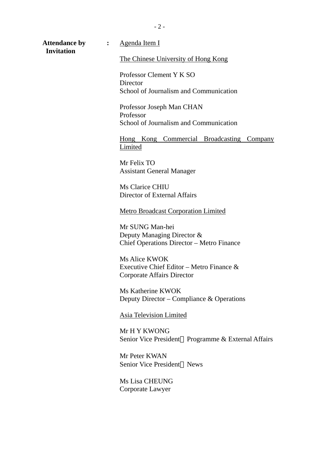**Invitation** 

The Chinese University of Hong Kong

Professor Clement Y K SO **Director** School of Journalism and Communication

Professor Joseph Man CHAN Professor School of Journalism and Communication

Hong Kong Commercial Broadcasting Company Limited

Mr Felix TO Assistant General Manager

Ms Clarice CHIU Director of External Affairs

Metro Broadcast Corporation Limited

Mr SUNG Man-hei Deputy Managing Director & Chief Operations Director – Metro Finance

Ms Alice KWOK Executive Chief Editor – Metro Finance & Corporate Affairs Director

Ms Katherine KWOK Deputy Director – Compliance & Operations

Asia Television Limited

Mr H Y KWONG Senior Vice President Programme & External Affairs

Mr Peter KWAN Senior Vice President News

Ms Lisa CHEUNG Corporate Lawyer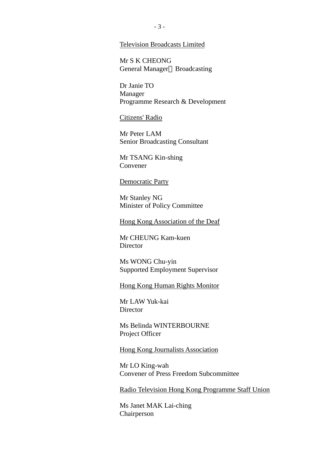#### Television Broadcasts Limited

Mr S K CHEONG General Manager Broadcasting

Dr Janie TO Manager Programme Research & Development

Citizens' Radio

Mr Peter LAM Senior Broadcasting Consultant

Mr TSANG Kin-shing Convener

#### Democratic Party

Mr Stanley NG Minister of Policy Committee

Hong Kong Association of the Deaf

Mr CHEUNG Kam-kuen **Director** 

Ms WONG Chu-yin Supported Employment Supervisor

Hong Kong Human Rights Monitor

Mr LAW Yuk-kai **Director** 

Ms Belinda WINTERBOURNE Project Officer

Hong Kong Journalists Association

Mr LO King-wah Convener of Press Freedom Subcommittee

Radio Television Hong Kong Programme Staff Union

Ms Janet MAK Lai-ching Chairperson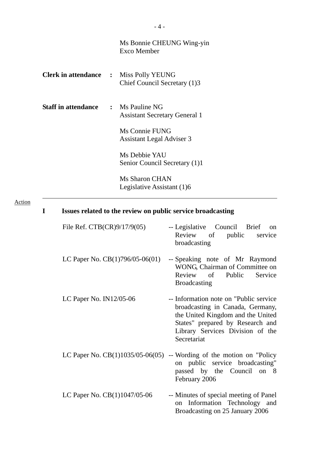|                                               | Ms Bonnie CHEUNG Wing-yin<br>Exco Member       |
|-----------------------------------------------|------------------------------------------------|
| <b>Clerk in attendance : Miss Polly YEUNG</b> | Chief Council Secretary (1)3                   |
| <b>Staff in attendance : Ms Pauline NG</b>    | <b>Assistant Secretary General 1</b>           |
|                                               | Ms Connie FUNG<br>Assistant Legal Adviser 3    |
|                                               | Ms Debbie YAU<br>Senior Council Secretary (1)1 |
|                                               | Ms Sharon CHAN<br>Legislative Assistant (1)6   |

## Action

| I | Issues related to the review on public service broadcasting |                                                                                                                                                                                                         |  |  |  |  |  |
|---|-------------------------------------------------------------|---------------------------------------------------------------------------------------------------------------------------------------------------------------------------------------------------------|--|--|--|--|--|
|   | File Ref. $CTB(CR)9/17/9(05)$                               | -- Legislative Council Brief<br>on<br>Review of<br>public<br>service<br>broadcasting                                                                                                                    |  |  |  |  |  |
|   | LC Paper No. CB(1)796/05-06(01)                             | -- Speaking note of Mr Raymond<br>WONG, Chairman of Committee on<br>Review of Public<br>Service<br><b>Broadcasting</b>                                                                                  |  |  |  |  |  |
|   | LC Paper No. IN12/05-06                                     | -- Information note on "Public service"<br>broadcasting in Canada, Germany,<br>the United Kingdom and the United<br>States" prepared by Research and<br>Library Services Division of the<br>Secretariat |  |  |  |  |  |
|   | LC Paper No. $CB(1)1035/05-06(05)$                          | -- Wording of the motion on "Policy"<br>on public service broadcasting"<br>passed by the Council on 8<br>February 2006                                                                                  |  |  |  |  |  |
|   | LC Paper No. CB(1)1047/05-06                                | -- Minutes of special meeting of Panel<br>Information Technology and<br>on<br>Broadcasting on 25 January 2006                                                                                           |  |  |  |  |  |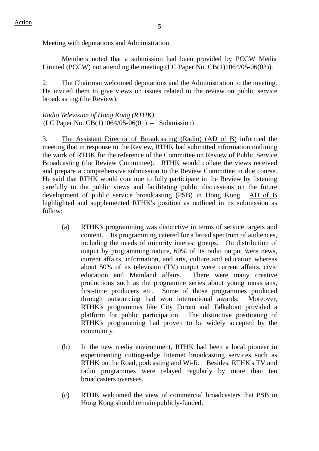#### Meeting with deputations and Administration

 Members noted that a submission had been provided by PCCW Media Limited (PCCW) not attending the meeting (LC Paper No. CB(1)1064/05-06(03)).

2. The Chairman welcomed deputations and the Administration to the meeting. He invited them to give views on issues related to the review on public service broadcasting (the Review).

*Radio Television of Hong Kong (RTHK)*  (LC Paper No. CB(1)1064/05-06(01) -- Submission)

3. The Assistant Director of Broadcasting (Radio) (AD of B) informed the meeting that in response to the Review, RTHK had submitted information outlining the work of RTHK for the reference of the Committee on Review of Public Service Broadcasting (the Review Committee). RTHK would collate the views received and prepare a comprehensive submission to the Review Committee in due course. He said that RTHK would continue to fully participate in the Review by listening carefully to the public views and facilitating public discussions on the future development of public service broadcasting (PSB) in Hong Kong. AD of B highlighted and supplemented RTHK's position as outlined in its submission as follow:

- (a) RTHK's programming was distinctive in terms of service targets and content. Its programming catered for a broad spectrum of audiences, including the needs of minority interest groups. On distribution of output by programming nature, 60% of its radio output were news, current affairs, information, and arts, culture and education whereas about 50% of its television (TV) output were current affairs, civic education and Mainland affairs. There were many creative productions such as the programme series about young musicians, first-time producers etc. Some of those programmes produced through outsourcing had won international awards. Moreover, RTHK's programmes like City Forum and Talkabout provided a platform for public participation. The distinctive positioning of RTHK's programming had proven to be widely accepted by the community.
- (b) In the new media environment, RTHK had been a local pioneer in experimenting cutting-edge Internet broadcasting services such as RTHK on the Road, podcasting and Wi-fi. Besides, RTHK's TV and radio programmes were relayed regularly by more than ten broadcasters overseas.
- (c) RTHK welcomed the view of commercial broadcasters that PSB in Hong Kong should remain publicly-funded.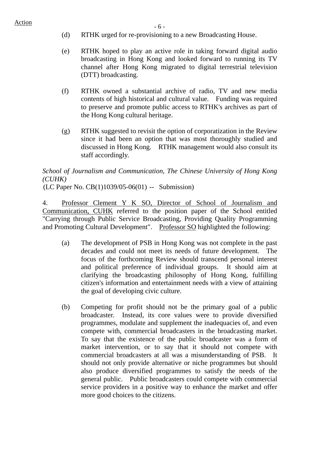- (d) RTHK urged for re-provisioning to a new Broadcasting House.
- (e) RTHK hoped to play an active role in taking forward digital audio broadcasting in Hong Kong and looked forward to running its TV channel after Hong Kong migrated to digital terrestrial television (DTT) broadcasting.
- (f) RTHK owned a substantial archive of radio, TV and new media contents of high historical and cultural value. Funding was required to preserve and promote public access to RTHK's archives as part of the Hong Kong cultural heritage.
- (g) RTHK suggested to revisit the option of corporatization in the Review since it had been an option that was most thoroughly studied and discussed in Hong Kong. RTHK management would also consult its staff accordingly.

# *School of Journalism and Communication, The Chinese University of Hong Kong (CUHK)*

(LC Paper No. CB(1)1039/05-06(01) -- Submission)

4. Professor Clement Y K SO, Director of School of Journalism and Communication, CUHK referred to the position paper of the School entitled "Carrying through Public Service Broadcasting, Providing Quality Programming and Promoting Cultural Development". Professor SO highlighted the following:

- (a) The development of PSB in Hong Kong was not complete in the past decades and could not meet its needs of future development. The focus of the forthcoming Review should transcend personal interest and political preference of individual groups. It should aim at clarifying the broadcasting philosophy of Hong Kong, fulfilling citizen's information and entertainment needs with a view of attaining the goal of developing civic culture.
- (b) Competing for profit should not be the primary goal of a public broadcaster. Instead, its core values were to provide diversified programmes, modulate and supplement the inadequacies of, and even compete with, commercial broadcasters in the broadcasting market. To say that the existence of the public broadcaster was a form of market intervention, or to say that it should not compete with commercial broadcasters at all was a misunderstanding of PSB. It should not only provide alternative or niche programmes but should also produce diversified programmes to satisfy the needs of the general public. Public broadcasters could compete with commercial service providers in a positive way to enhance the market and offer more good choices to the citizens.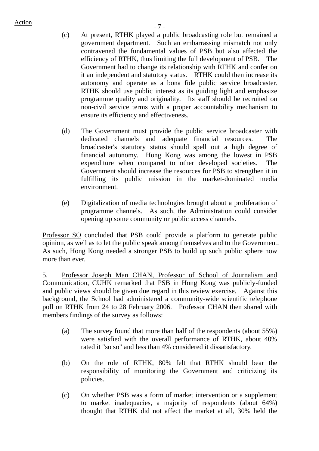- (c) At present, RTHK played a public broadcasting role but remained a government department. Such an embarrassing mismatch not only contravened the fundamental values of PSB but also affected the efficiency of RTHK, thus limiting the full development of PSB. The Government had to change its relationship with RTHK and confer on it an independent and statutory status. RTHK could then increase its autonomy and operate as a bona fide public service broadcaster. RTHK should use public interest as its guiding light and emphasize programme quality and originality. Its staff should be recruited on non-civil service terms with a proper accountability mechanism to ensure its efficiency and effectiveness.
- (d) The Government must provide the public service broadcaster with dedicated channels and adequate financial resources. The broadcaster's statutory status should spell out a high degree of financial autonomy. Hong Kong was among the lowest in PSB expenditure when compared to other developed societies. The Government should increase the resources for PSB to strengthen it in fulfilling its public mission in the market-dominated media environment.
- (e) Digitalization of media technologies brought about a proliferation of programme channels. As such, the Administration could consider opening up some community or public access channels.

Professor SO concluded that PSB could provide a platform to generate public opinion, as well as to let the public speak among themselves and to the Government. As such, Hong Kong needed a stronger PSB to build up such public sphere now more than ever.

5. Professor Joseph Man CHAN, Professor of School of Journalism and Communication, CUHK remarked that PSB in Hong Kong was publicly-funded and public views should be given due regard in this review exercise. Against this background, the School had administered a community-wide scientific telephone poll on RTHK from 24 to 28 February 2006. Professor CHAN then shared with members findings of the survey as follows:

- (a) The survey found that more than half of the respondents (about 55%) were satisfied with the overall performance of RTHK, about 40% rated it "so so" and less than 4% considered it dissatisfactory.
- (b) On the role of RTHK, 80% felt that RTHK should bear the responsibility of monitoring the Government and criticizing its policies.
- (c) On whether PSB was a form of market intervention or a supplement to market inadequacies, a majority of respondents (about 64%) thought that RTHK did not affect the market at all, 30% held the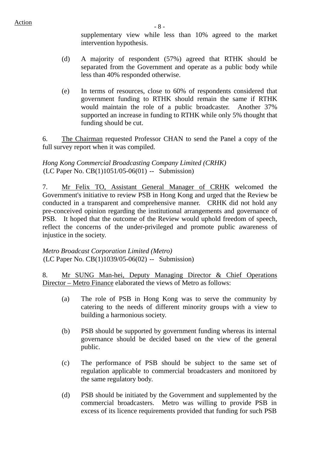supplementary view while less than 10% agreed to the market intervention hypothesis.

- (d) A majority of respondent (57%) agreed that RTHK should be separated from the Government and operate as a public body while less than 40% responded otherwise.
- (e) In terms of resources, close to 60% of respondents considered that government funding to RTHK should remain the same if RTHK would maintain the role of a public broadcaster. Another 37% supported an increase in funding to RTHK while only 5% thought that funding should be cut.

6. The Chairman requested Professor CHAN to send the Panel a copy of the full survey report when it was compiled.

#### *Hong Kong Commercial Broadcasting Company Limited (CRHK)*  (LC Paper No. CB(1)1051/05-06(01) -- Submission)

7. Mr Felix TO, Assistant General Manager of CRHK welcomed the Government's initiative to review PSB in Hong Kong and urged that the Review be conducted in a transparent and comprehensive manner. CRHK did not hold any pre-conceived opinion regarding the institutional arrangements and governance of PSB. It hoped that the outcome of the Review would uphold freedom of speech, reflect the concerns of the under-privileged and promote public awareness of injustice in the society.

*Metro Broadcast Corporation Limited (Metro)*  (LC Paper No. CB(1)1039/05-06(02) -- Submission)

8. Mr SUNG Man-hei, Deputy Managing Director & Chief Operations Director – Metro Finance elaborated the views of Metro as follows:

- (a) The role of PSB in Hong Kong was to serve the community by catering to the needs of different minority groups with a view to building a harmonious society.
- (b) PSB should be supported by government funding whereas its internal governance should be decided based on the view of the general public.
- (c) The performance of PSB should be subject to the same set of regulation applicable to commercial broadcasters and monitored by the same regulatory body.
- (d) PSB should be initiated by the Government and supplemented by the commercial broadcasters. Metro was willing to provide PSB in excess of its licence requirements provided that funding for such PSB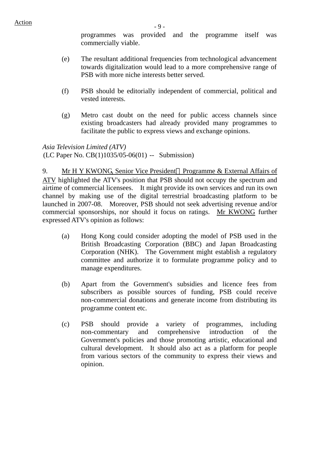programmes was provided and the programme itself was commercially viable.

- (e) The resultant additional frequencies from technological advancement towards digitalization would lead to a more comprehensive range of PSB with more niche interests better served.
- (f) PSB should be editorially independent of commercial, political and vested interests.
- (g) Metro cast doubt on the need for public access channels since existing broadcasters had already provided many programmes to facilitate the public to express views and exchange opinions.

*Asia Television Limited (ATV)*  (LC Paper No. CB(1)1035/05-06(01) -- Submission)

9. Mr H Y KWONG, Senior Vice President Programme & External Affairs of ATV highlighted the ATV's position that PSB should not occupy the spectrum and airtime of commercial licensees. It might provide its own services and run its own channel by making use of the digital terrestrial broadcasting platform to be launched in 2007-08. Moreover, PSB should not seek advertising revenue and/or commercial sponsorships, nor should it focus on ratings. Mr KWONG further expressed ATV's opinion as follows:

- (a) Hong Kong could consider adopting the model of PSB used in the British Broadcasting Corporation (BBC) and Japan Broadcasting Corporation (NHK). The Government might establish a regulatory committee and authorize it to formulate programme policy and to manage expenditures.
- (b) Apart from the Government's subsidies and licence fees from subscribers as possible sources of funding, PSB could receive non-commercial donations and generate income from distributing its programme content etc.
- (c) PSB should provide a variety of programmes, including non-commentary and comprehensive introduction of the Government's policies and those promoting artistic, educational and cultural development. It should also act as a platform for people from various sectors of the community to express their views and opinion.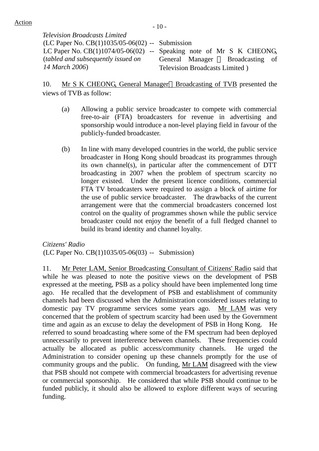| <b>Television Broadcasts Limited</b>              |                                                                       |
|---------------------------------------------------|-----------------------------------------------------------------------|
| (LC Paper No. $CB(1)1035/05-06(02)$ -- Submission |                                                                       |
|                                                   | LC Paper No. $CB(1)1074/05-06(02)$ -- Speaking note of Mr S K CHEONG, |
| <i>(tabled and subsequently issued on</i> )       | General Manager Broadcasting of                                       |
| 14 March 2006)                                    | Television Broadcasts Limited)                                        |

10. Mr S K CHEONG, General Manager Broadcasting of TVB presented the views of TVB as follow:

- (a) Allowing a public service broadcaster to compete with commercial free-to-air (FTA) broadcasters for revenue in advertising and sponsorship would introduce a non-level playing field in favour of the publicly-funded broadcaster.
- (b) In line with many developed countries in the world, the public service broadcaster in Hong Kong should broadcast its programmes through its own channel(s), in particular after the commencement of DTT broadcasting in 2007 when the problem of spectrum scarcity no longer existed. Under the present licence conditions, commercial FTA TV broadcasters were required to assign a block of airtime for the use of public service broadcaster. The drawbacks of the current arrangement were that the commercial broadcasters concerned lost control on the quality of programmes shown while the public service broadcaster could not enjoy the benefit of a full fledged channel to build its brand identity and channel loyalty.

*Citizens' Radio* (LC Paper No. CB(1)1035/05-06(03) -- Submission)

11. Mr Peter LAM, Senior Broadcasting Consultant of Citizens' Radio said that while he was pleased to note the positive views on the development of PSB expressed at the meeting, PSB as a policy should have been implemented long time ago. He recalled that the development of PSB and establishment of community channels had been discussed when the Administration considered issues relating to domestic pay TV programme services some years ago. Mr LAM was very concerned that the problem of spectrum scarcity had been used by the Government time and again as an excuse to delay the development of PSB in Hong Kong. He referred to sound broadcasting where some of the FM spectrum had been deployed unnecessarily to prevent interference between channels. These frequencies could actually be allocated as public access/community channels. He urged the Administration to consider opening up these channels promptly for the use of community groups and the public. On funding, Mr LAM disagreed with the view that PSB should not compete with commercial broadcasters for advertising revenue or commercial sponsorship. He considered that while PSB should continue to be funded publicly, it should also be allowed to explore different ways of securing funding.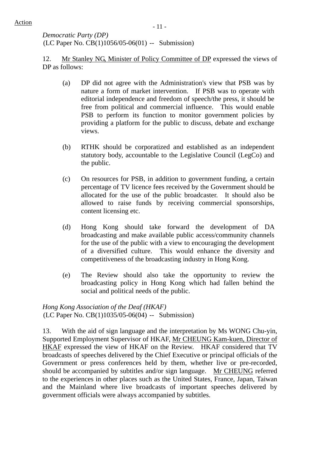*Democratic Party (DP)*  (LC Paper No. CB(1)1056/05-06(01) -- Submission)

12. Mr Stanley NG, Minister of Policy Committee of DP expressed the views of DP as follows:

- (a) DP did not agree with the Administration's view that PSB was by nature a form of market intervention. If PSB was to operate with editorial independence and freedom of speech/the press, it should be free from political and commercial influence. This would enable PSB to perform its function to monitor government policies by providing a platform for the public to discuss, debate and exchange views.
- (b) RTHK should be corporatized and established as an independent statutory body, accountable to the Legislative Council (LegCo) and the public.
- (c) On resources for PSB, in addition to government funding, a certain percentage of TV licence fees received by the Government should be allocated for the use of the public broadcaster. It should also be allowed to raise funds by receiving commercial sponsorships, content licensing etc.
- (d) Hong Kong should take forward the development of DA broadcasting and make available public access/community channels for the use of the public with a view to encouraging the development of a diversified culture. This would enhance the diversity and competitiveness of the broadcasting industry in Hong Kong.
- (e) The Review should also take the opportunity to review the broadcasting policy in Hong Kong which had fallen behind the social and political needs of the public.

## *Hong Kong Association of the Deaf (HKAF)*  (LC Paper No. CB(1)1035/05-06(04) -- Submission)

13. With the aid of sign language and the interpretation by Ms WONG Chu-yin, Supported Employment Supervisor of HKAF, Mr CHEUNG Kam-kuen, Director of HKAF expressed the view of HKAF on the Review. HKAF considered that TV broadcasts of speeches delivered by the Chief Executive or principal officials of the Government or press conferences held by them, whether live or pre-recorded, should be accompanied by subtitles and/or sign language. Mr CHEUNG referred to the experiences in other places such as the United States, France, Japan, Taiwan and the Mainland where live broadcasts of important speeches delivered by government officials were always accompanied by subtitles.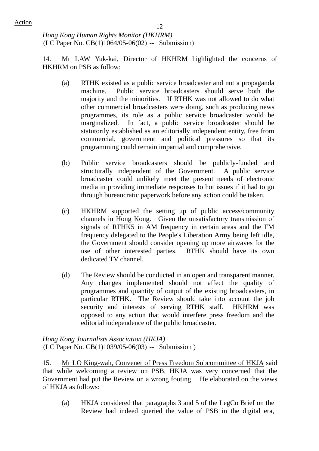$\frac{\text{Action}}{\text{Action}}$  - 12 -

*Hong Kong Human Rights Monitor (HKHRM)*  (LC Paper No. CB(1)1064/05-06(02) -- Submission)

14. Mr LAW Yuk-kai, Director of HKHRM highlighted the concerns of HKHRM on PSB as follow:

- (a) RTHK existed as a public service broadcaster and not a propaganda machine. Public service broadcasters should serve both the majority and the minorities. If RTHK was not allowed to do what other commercial broadcasters were doing, such as producing news programmes, its role as a public service broadcaster would be marginalized. In fact, a public service broadcaster should be statutorily established as an editorially independent entity, free from commercial, government and political pressures so that its programming could remain impartial and comprehensive.
- (b) Public service broadcasters should be publicly-funded and structurally independent of the Government. A public service broadcaster could unlikely meet the present needs of electronic media in providing immediate responses to hot issues if it had to go through bureaucratic paperwork before any action could be taken.
- (c) HKHRM supported the setting up of public access/community channels in Hong Kong. Given the unsatisfactory transmission of signals of RTHK5 in AM frequency in certain areas and the FM frequency delegated to the People's Liberation Army being left idle, the Government should consider opening up more airwaves for the use of other interested parties. RTHK should have its own dedicated TV channel.
- (d) The Review should be conducted in an open and transparent manner. Any changes implemented should not affect the quality of programmes and quantity of output of the existing broadcasters, in particular RTHK. The Review should take into account the job security and interests of serving RTHK staff. HKHRM was opposed to any action that would interfere press freedom and the editorial independence of the public broadcaster.

*Hong Kong Journalists Association (HKJA)*  (LC Paper No. CB(1)1039/05-06(03) -- Submission )

15. Mr LO King-wah, Convener of Press Freedom Subcommittee of HKJA said that while welcoming a review on PSB, HKJA was very concerned that the Government had put the Review on a wrong footing. He elaborated on the views of HKJA as follows:

(a) HKJA considered that paragraphs 3 and 5 of the LegCo Brief on the Review had indeed queried the value of PSB in the digital era,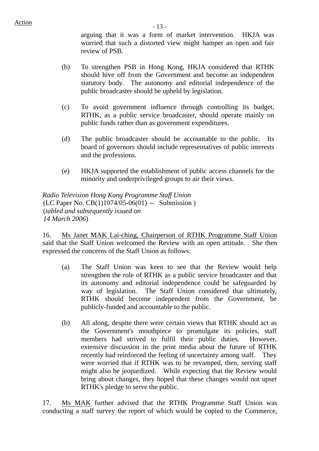arguing that it was a form of market intervention. HKJA was worried that such a distorted view might hamper an open and fair review of PSB.

- (b) To strengthen PSB in Hong Kong, HKJA considered that RTHK should hive off from the Government and become an independent statutory body. The autonomy and editorial independence of the public broadcaster should be upheld by legislation.
- (c) To avoid government influence through controlling its budget, RTHK, as a public service broadcaster, should operate mainly on public funds rather than as government expenditures.
- (d) The public broadcaster should be accountable to the public. Its board of governors should include representatives of public interests and the professions.
- (e) HKJA supported the establishment of public access channels for the minority and underprivileged groups to air their views.

*Radio Television Hong Kong Programme Staff Union*  (LC Paper No. CB(1)1074/05-06(01) -- Submission ) (*tabled and subsequently issued on 14 March 2006*)

16. Ms Janet MAK Lai-ching, Chairperson of RTHK Programme Staff Union said that the Staff Union welcomed the Review with an open attitude. She then expressed the concerns of the Staff Union as follows:

- (a) The Staff Union was keen to see that the Review would help strengthen the role of RTHK as a public service broadcaster and that its autonomy and editorial independence could be safeguarded by way of legislation. The Staff Union considered that ultimately, RTHK should become independent from the Government, be publicly-funded and accountable to the public.
- (b) All along, despite there were certain views that RTHK should act as the Government's mouthpiece to promulgate its policies, staff members had strived to fulfil their public duties. However, extensive discussion in the print media about the future of RTHK recently had reinforced the feeling of uncertainty among staff. They were worried that if RTHK was to be revamped, then, serving staff might also be jeopardized. While expecting that the Review would bring about changes, they hoped that these changes would not upset RTHK's pledge to serve the public.

17. Ms MAK further advised that the RTHK Programme Staff Union was conducting a staff survey the report of which would be copied to the Commerce,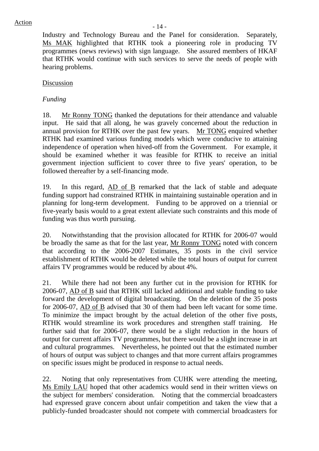Industry and Technology Bureau and the Panel for consideration. Separately, Ms MAK highlighted that RTHK took a pioneering role in producing TV programmes (news reviews) with sign language. She assured members of HKAF that RTHK would continue with such services to serve the needs of people with hearing problems.

## Discussion

## *Funding*

18. Mr Ronny TONG thanked the deputations for their attendance and valuable input. He said that all along, he was gravely concerned about the reduction in annual provision for RTHK over the past few years. Mr TONG enquired whether RTHK had examined various funding models which were conducive to attaining independence of operation when hived-off from the Government. For example, it should be examined whether it was feasible for RTHK to receive an initial government injection sufficient to cover three to five years' operation, to be followed thereafter by a self-financing mode.

19. In this regard, AD of B remarked that the lack of stable and adequate funding support had constrained RTHK in maintaining sustainable operation and in planning for long-term development. Funding to be approved on a triennial or five-yearly basis would to a great extent alleviate such constraints and this mode of funding was thus worth pursuing.

20. Notwithstanding that the provision allocated for RTHK for 2006-07 would be broadly the same as that for the last year, Mr Ronny TONG noted with concern that according to the 2006-2007 Estimates, 35 posts in the civil service establishment of RTHK would be deleted while the total hours of output for current affairs TV programmes would be reduced by about 4%.

21. While there had not been any further cut in the provision for RTHK for 2006-07, AD of B said that RTHK still lacked additional and stable funding to take forward the development of digital broadcasting. On the deletion of the 35 posts for 2006-07, AD of B advised that 30 of them had been left vacant for some time. To minimize the impact brought by the actual deletion of the other five posts, RTHK would streamline its work procedures and strengthen staff training. He further said that for 2006-07, there would be a slight reduction in the hours of output for current affairs TV programmes, but there would be a slight increase in art and cultural programmes. Nevertheless, he pointed out that the estimated number of hours of output was subject to changes and that more current affairs programmes on specific issues might be produced in response to actual needs.

22. Noting that only representatives from CUHK were attending the meeting, Ms Emily LAU hoped that other academics would send in their written views on the subject for members' consideration. Noting that the commercial broadcasters had expressed grave concern about unfair competition and taken the view that a publicly-funded broadcaster should not compete with commercial broadcasters for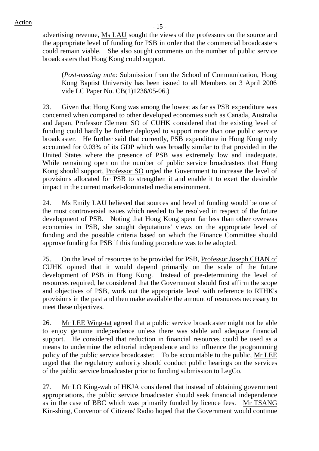advertising revenue, Ms LAU sought the views of the professors on the source and the appropriate level of funding for PSB in order that the commercial broadcasters could remain viable. She also sought comments on the number of public service broadcasters that Hong Kong could support.

(*Post-meeting note*: Submission from the School of Communication, Hong Kong Baptist University has been issued to all Members on 3 April 2006 vide LC Paper No. CB(1)1236/05-06.)

23. Given that Hong Kong was among the lowest as far as PSB expenditure was concerned when compared to other developed economies such as Canada, Australia and Japan, Professor Clement SO of CUHK considered that the existing level of funding could hardly be further deployed to support more than one public service broadcaster. He further said that currently, PSB expenditure in Hong Kong only accounted for 0.03% of its GDP which was broadly similar to that provided in the United States where the presence of PSB was extremely low and inadequate. While remaining open on the number of public service broadcasters that Hong Kong should support, Professor SO urged the Government to increase the level of provisions allocated for PSB to strengthen it and enable it to exert the desirable impact in the current market-dominated media environment.

24. Ms Emily LAU believed that sources and level of funding would be one of the most controversial issues which needed to be resolved in respect of the future development of PSB. Noting that Hong Kong spent far less than other overseas economies in PSB, she sought deputations' views on the appropriate level of funding and the possible criteria based on which the Finance Committee should approve funding for PSB if this funding procedure was to be adopted.

25. On the level of resources to be provided for PSB, Professor Joseph CHAN of CUHK opined that it would depend primarily on the scale of the future development of PSB in Hong Kong. Instead of pre-determining the level of resources required, he considered that the Government should first affirm the scope and objectives of PSB, work out the appropriate level with reference to RTHK's provisions in the past and then make available the amount of resources necessary to meet these objectives.

26. Mr LEE Wing-tat agreed that a public service broadcaster might not be able to enjoy genuine independence unless there was stable and adequate financial support. He considered that reduction in financial resources could be used as a means to undermine the editorial independence and to influence the programming policy of the public service broadcaster. To be accountable to the public, Mr LEE urged that the regulatory authority should conduct public hearings on the services of the public service broadcaster prior to funding submission to LegCo.

27. Mr LO King-wah of HKJA considered that instead of obtaining government appropriations, the public service broadcaster should seek financial independence as in the case of BBC which was primarily funded by licence fees. Mr TSANG Kin-shing, Convenor of Citizens' Radio hoped that the Government would continue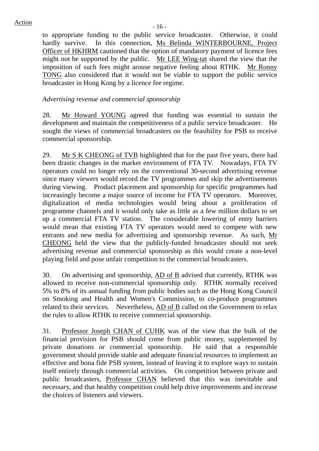to appropriate funding to the public service broadcaster. Otherwise, it could hardly survive. In this connection, Ms Belinda WINTERBOURNE, Project Officer of HKHRM cautioned that the option of mandatory payment of licence fees might not be supported by the public. Mr LEE Wing-tat shared the view that the imposition of such fees might arouse negative feeling about RTHK. Mr Ronny TONG also considered that it would not be viable to support the public service broadcaster in Hong Kong by a licence fee regime.

*Advertising revenue and commercial sponsorship* 

28. Mr Howard YOUNG agreed that funding was essential to sustain the development and maintain the competitiveness of a public service broadcaster. He sought the views of commercial broadcasters on the feasibility for PSB to receive commercial sponsorship.

29. Mr S K CHEONG of TVB highlighted that for the past five years, there had been drastic changes in the market environment of FTA TV. Nowadays, FTA TV operators could no longer rely on the conventional 30-second advertising revenue since many viewers would record the TV programmes and skip the advertisements during viewing. Product placement and sponsorship for specific programmes had increasingly become a major source of income for FTA TV operators. Moreover, digitalization of media technologies would bring about a proliferation of programme channels and it would only take as little as a few million dollars to set up a commercial FTA TV station. The considerable lowering of entry barriers would mean that existing FTA TV operators would need to compete with new entrants and new media for advertising and sponsorship revenue. As such, Mr CHEONG held the view that the publicly-funded broadcaster should not seek advertising revenue and commercial sponsorship as this would create a non-level playing field and pose unfair competition to the commercial broadcasters.

30. On advertising and sponsorship, AD of B advised that currently, RTHK was allowed to receive non-commercial sponsorship only. RTHK normally received 5% to 8% of its annual funding from public bodies such as the Hong Kong Council on Smoking and Health and Women's Commission, to co-produce programmes related to their services. Nevertheless, AD of B called on the Government to relax the rules to allow RTHK to receive commercial sponsorship.

31. Professor Joseph CHAN of CUHK was of the view that the bulk of the financial provision for PSB should come from public money, supplemented by private donations or commercial sponsorship. He said that a responsible government should provide stable and adequate financial resources to implement an effective and bona fide PSB system, instead of leaving it to explore ways to sustain itself entirely through commercial activities. On competition between private and public broadcasters, Professor CHAN believed that this was inevitable and necessary, and that healthy competition could help drive improvements and increase the choices of listeners and viewers.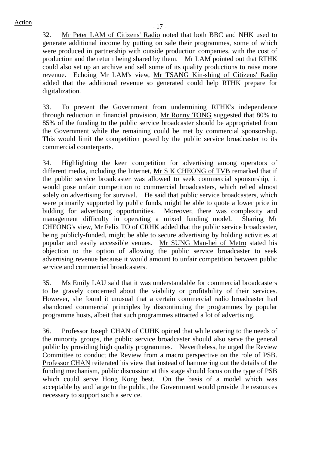32. Mr Peter LAM of Citizens' Radio noted that both BBC and NHK used to generate additional income by putting on sale their programmes, some of which were produced in partnership with outside production companies, with the cost of production and the return being shared by them. Mr LAM pointed out that RTHK could also set up an archive and sell some of its quality productions to raise more revenue. Echoing Mr LAM's view, Mr TSANG Kin-shing of Citizens' Radio added that the additional revenue so generated could help RTHK prepare for digitalization.

33. To prevent the Government from undermining RTHK's independence through reduction in financial provision, Mr Ronny TONG suggested that 80% to 85% of the funding to the public service broadcaster should be appropriated from the Government while the remaining could be met by commercial sponsorship. This would limit the competition posed by the public service broadcaster to its commercial counterparts.

34. Highlighting the keen competition for advertising among operators of different media, including the Internet, Mr S K CHEONG of TVB remarked that if the public service broadcaster was allowed to seek commercial sponsorship, it would pose unfair competition to commercial broadcasters, which relied almost solely on advertising for survival. He said that public service broadcasters, which were primarily supported by public funds, might be able to quote a lower price in bidding for advertising opportunities. Moreover, there was complexity and management difficulty in operating a mixed funding model. Sharing Mr CHEONG's view, Mr Felix TO of CRHK added that the public service broadcaster, being publicly-funded, might be able to secure advertising by holding activities at popular and easily accessible venues. Mr SUNG Man-hei of Metro stated his objection to the option of allowing the public service broadcaster to seek advertising revenue because it would amount to unfair competition between public service and commercial broadcasters.

35. Ms Emily LAU said that it was understandable for commercial broadcasters to be gravely concerned about the viability or profitability of their services. However, she found it unusual that a certain commercial radio broadcaster had abandoned commercial principles by discontinuing the programmes by popular programme hosts, albeit that such programmes attracted a lot of advertising.

36. Professor Joseph CHAN of CUHK opined that while catering to the needs of the minority groups, the public service broadcaster should also serve the general public by providing high quality programmes. Nevertheless, he urged the Review Committee to conduct the Review from a macro perspective on the role of PSB. Professor CHAN reiterated his view that instead of hammering out the details of the funding mechanism, public discussion at this stage should focus on the type of PSB which could serve Hong Kong best. On the basis of a model which was acceptable by and large to the public, the Government would provide the resources necessary to support such a service.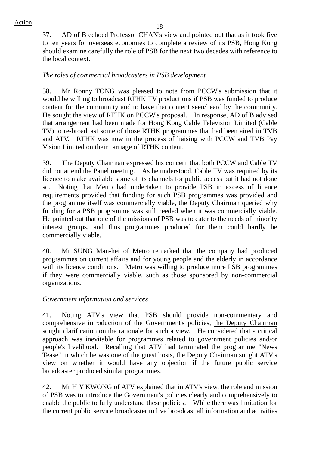37. AD of B echoed Professor CHAN's view and pointed out that as it took five to ten years for overseas economies to complete a review of its PSB, Hong Kong should examine carefully the role of PSB for the next two decades with reference to the local context.

## *The roles of commercial broadcasters in PSB development*

38. Mr Ronny TONG was pleased to note from PCCW's submission that it would be willing to broadcast RTHK TV productions if PSB was funded to produce content for the community and to have that content seen/heard by the community. He sought the view of RTHK on PCCW's proposal. In response, AD of B advised that arrangement had been made for Hong Kong Cable Television Limited (Cable TV) to re-broadcast some of those RTHK programmes that had been aired in TVB and ATV. RTHK was now in the process of liaising with PCCW and TVB Pay Vision Limited on their carriage of RTHK content.

39. The Deputy Chairman expressed his concern that both PCCW and Cable TV did not attend the Panel meeting. As he understood, Cable TV was required by its licence to make available some of its channels for public access but it had not done so. Noting that Metro had undertaken to provide PSB in excess of licence requirements provided that funding for such PSB programmes was provided and the programme itself was commercially viable, the Deputy Chairman queried why funding for a PSB programme was still needed when it was commercially viable. He pointed out that one of the missions of PSB was to cater to the needs of minority interest groups, and thus programmes produced for them could hardly be commercially viable.

40. Mr SUNG Man-hei of Metro remarked that the company had produced programmes on current affairs and for young people and the elderly in accordance with its licence conditions. Metro was willing to produce more PSB programmes if they were commercially viable, such as those sponsored by non-commercial organizations.

#### *Government information and services*

41. Noting ATV's view that PSB should provide non-commentary and comprehensive introduction of the Government's policies, the Deputy Chairman sought clarification on the rationale for such a view. He considered that a critical approach was inevitable for programmes related to government policies and/or people's livelihood. Recalling that ATV had terminated the programme "News Tease" in which he was one of the guest hosts, the Deputy Chairman sought ATV's view on whether it would have any objection if the future public service broadcaster produced similar programmes.

42. Mr H Y KWONG of ATV explained that in ATV's view, the role and mission of PSB was to introduce the Government's policies clearly and comprehensively to enable the public to fully understand these policies. While there was limitation for the current public service broadcaster to live broadcast all information and activities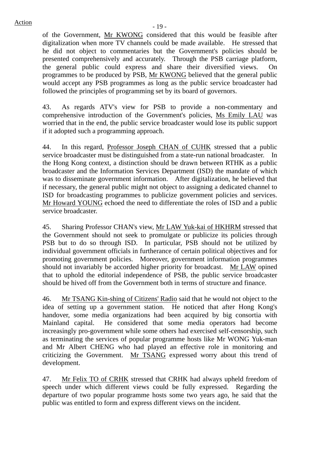of the Government, Mr KWONG considered that this would be feasible after digitalization when more TV channels could be made available. He stressed that he did not object to commentaries but the Government's policies should be presented comprehensively and accurately. Through the PSB carriage platform, the general public could express and share their diversified views. On programmes to be produced by PSB, Mr KWONG believed that the general public would accept any PSB programmes as long as the public service broadcaster had followed the principles of programming set by its board of governors.

43. As regards ATV's view for PSB to provide a non-commentary and comprehensive introduction of the Government's policies, Ms Emily LAU was worried that in the end, the public service broadcaster would lose its public support if it adopted such a programming approach.

44. In this regard, Professor Joseph CHAN of CUHK stressed that a public service broadcaster must be distinguished from a state-run national broadcaster. In the Hong Kong context, a distinction should be drawn between RTHK as a public broadcaster and the Information Services Department (ISD) the mandate of which was to disseminate government information. After digitalization, he believed that if necessary, the general public might not object to assigning a dedicated channel to ISD for broadcasting programmes to publicize government policies and services. Mr Howard YOUNG echoed the need to differentiate the roles of ISD and a public service broadcaster.

45. Sharing Professor CHAN's view, Mr LAW Yuk-kai of HKHRM stressed that the Government should not seek to promulgate or publicize its policies through PSB but to do so through ISD. In particular, PSB should not be utilized by individual government officials in furtherance of certain political objectives and for promoting government policies. Moreover, government information programmes should not invariably be accorded higher priority for broadcast. Mr LAW opined that to uphold the editorial independence of PSB, the public service broadcaster should be hived off from the Government both in terms of structure and finance.

46. Mr TSANG Kin-shing of Citizens' Radio said that he would not object to the idea of setting up a government station. He noticed that after Hong Kong's handover, some media organizations had been acquired by big consortia with Mainland capital. He considered that some media operators had become increasingly pro-government while some others had exercised self-censorship, such as terminating the services of popular programme hosts like Mr WONG Yuk-man and Mr Albert CHENG who had played an effective role in monitoring and criticizing the Government. Mr TSANG expressed worry about this trend of development.

47. Mr Felix TO of CRHK stressed that CRHK had always upheld freedom of speech under which different views could be fully expressed. Regarding the departure of two popular programme hosts some two years ago, he said that the public was entitled to form and express different views on the incident.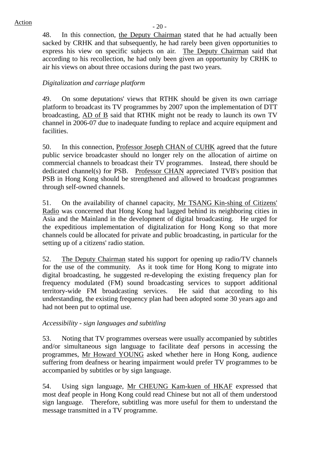48. In this connection, the Deputy Chairman stated that he had actually been sacked by CRHK and that subsequently, he had rarely been given opportunities to express his view on specific subjects on air. The Deputy Chairman said that according to his recollection, he had only been given an opportunity by CRHK to air his views on about three occasions during the past two years.

# *Digitalization and carriage platform*

49. On some deputations' views that RTHK should be given its own carriage platform to broadcast its TV programmes by 2007 upon the implementation of DTT broadcasting, AD of B said that RTHK might not be ready to launch its own TV channel in 2006-07 due to inadequate funding to replace and acquire equipment and facilities.

50. In this connection, Professor Joseph CHAN of CUHK agreed that the future public service broadcaster should no longer rely on the allocation of airtime on commercial channels to broadcast their TV programmes. Instead, there should be dedicated channel(s) for PSB. Professor CHAN appreciated TVB's position that PSB in Hong Kong should be strengthened and allowed to broadcast programmes through self-owned channels.

51. On the availability of channel capacity, Mr TSANG Kin-shing of Citizens' Radio was concerned that Hong Kong had lagged behind its neighboring cities in Asia and the Mainland in the development of digital broadcasting. He urged for the expeditious implementation of digitalization for Hong Kong so that more channels could be allocated for private and public broadcasting, in particular for the setting up of a citizens' radio station.

52. The Deputy Chairman stated his support for opening up radio/TV channels for the use of the community. As it took time for Hong Kong to migrate into digital broadcasting, he suggested re-developing the existing frequency plan for frequency modulated (FM) sound broadcasting services to support additional territory-wide FM broadcasting services. He said that according to his understanding, the existing frequency plan had been adopted some 30 years ago and had not been put to optimal use.

## *Accessibility - sign languages and subtitling*

53. Noting that TV programmes overseas were usually accompanied by subtitles and/or simultaneous sign language to facilitate deaf persons in accessing the programmes, Mr Howard YOUNG asked whether here in Hong Kong, audience suffering from deafness or hearing impairment would prefer TV programmes to be accompanied by subtitles or by sign language.

54. Using sign language, Mr CHEUNG Kam-kuen of HKAF expressed that most deaf people in Hong Kong could read Chinese but not all of them understood sign language. Therefore, subtitling was more useful for them to understand the message transmitted in a TV programme.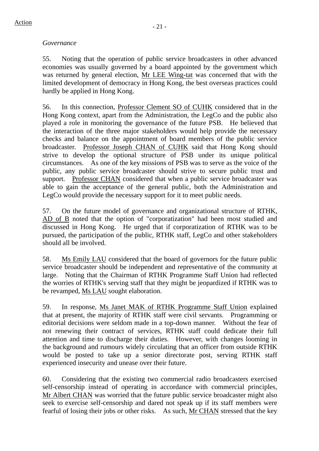### *Governance*

55. Noting that the operation of public service broadcasters in other advanced economies was usually governed by a board appointed by the government which was returned by general election, Mr LEE Wing-tat was concerned that with the limited development of democracy in Hong Kong, the best overseas practices could hardly be applied in Hong Kong.

56. In this connection, Professor Clement SO of CUHK considered that in the Hong Kong context, apart from the Administration, the LegCo and the public also played a role in monitoring the governance of the future PSB. He believed that the interaction of the three major stakeholders would help provide the necessary checks and balance on the appointment of board members of the public service broadcaster. Professor Joseph CHAN of CUHK said that Hong Kong should strive to develop the optional structure of PSB under its unique political circumstances. As one of the key missions of PSB was to serve as the voice of the public, any public service broadcaster should strive to secure public trust and support. Professor CHAN considered that when a public service broadcaster was able to gain the acceptance of the general public, both the Administration and LegCo would provide the necessary support for it to meet public needs.

57. On the future model of governance and organizational structure of RTHK, AD of B noted that the option of "corporatization" had been most studied and discussed in Hong Kong. He urged that if corporatization of RTHK was to be pursued, the participation of the public, RTHK staff, LegCo and other stakeholders should all be involved.

58. Ms Emily LAU considered that the board of governors for the future public service broadcaster should be independent and representative of the community at large. Noting that the Chairman of RTHK Programme Staff Union had reflected the worries of RTHK's serving staff that they might be jeopardized if RTHK was to be revamped, Ms LAU sought elaboration.

59. In response, Ms Janet MAK of RTHK Programme Staff Union explained that at present, the majority of RTHK staff were civil servants. Programming or editorial decisions were seldom made in a top-down manner. Without the fear of not renewing their contract of services, RTHK staff could dedicate their full attention and time to discharge their duties. However, with changes looming in the background and rumours widely circulating that an officer from outside RTHK would be posted to take up a senior directorate post, serving RTHK staff experienced insecurity and unease over their future.

60. Considering that the existing two commercial radio broadcasters exercised self-censorship instead of operating in accordance with commercial principles, Mr Albert CHAN was worried that the future public service broadcaster might also seek to exercise self-censorship and dared not speak up if its staff members were fearful of losing their jobs or other risks. As such, Mr CHAN stressed that the key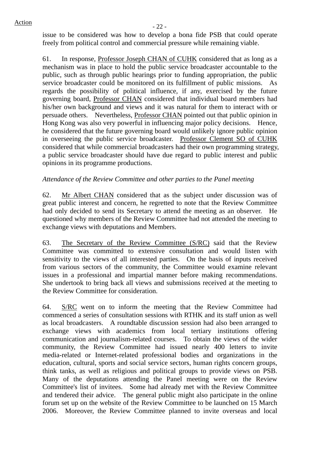issue to be considered was how to develop a bona fide PSB that could operate freely from political control and commercial pressure while remaining viable.

61. In response, Professor Joseph CHAN of CUHK considered that as long as a mechanism was in place to hold the public service broadcaster accountable to the public, such as through public hearings prior to funding appropriation, the public service broadcaster could be monitored on its fulfillment of public missions. As regards the possibility of political influence, if any, exercised by the future governing board, Professor CHAN considered that individual board members had his/her own background and views and it was natural for them to interact with or persuade others. Nevertheless, Professor CHAN pointed out that public opinion in Hong Kong was also very powerful in influencing major policy decisions. Hence, he considered that the future governing board would unlikely ignore public opinion in overseeing the public service broadcaster. Professor Clement SO of CUHK considered that while commercial broadcasters had their own programming strategy, a public service broadcaster should have due regard to public interest and public opinions in its programme productions.

## *Attendance of the Review Committee and other parties to the Panel meeting*

62. Mr Albert CHAN considered that as the subject under discussion was of great public interest and concern, he regretted to note that the Review Committee had only decided to send its Secretary to attend the meeting as an observer. He questioned why members of the Review Committee had not attended the meeting to exchange views with deputations and Members.

63. The Secretary of the Review Committee (S/RC) said that the Review Committee was committed to extensive consultation and would listen with sensitivity to the views of all interested parties. On the basis of inputs received from various sectors of the community, the Committee would examine relevant issues in a professional and impartial manner before making recommendations. She undertook to bring back all views and submissions received at the meeting to the Review Committee for consideration.

64. S/RC went on to inform the meeting that the Review Committee had commenced a series of consultation sessions with RTHK and its staff union as well as local broadcasters. A roundtable discussion session had also been arranged to exchange views with academics from local tertiary institutions offering communication and journalism-related courses. To obtain the views of the wider community, the Review Committee had issued nearly 400 letters to invite media-related or Internet-related professional bodies and organizations in the education, cultural, sports and social service sectors, human rights concern groups, think tanks, as well as religious and political groups to provide views on PSB. Many of the deputations attending the Panel meeting were on the Review Committee's list of invitees. Some had already met with the Review Committee and tendered their advice. The general public might also participate in the online forum set up on the website of the Review Committee to be launched on 15 March 2006. Moreover, the Review Committee planned to invite overseas and local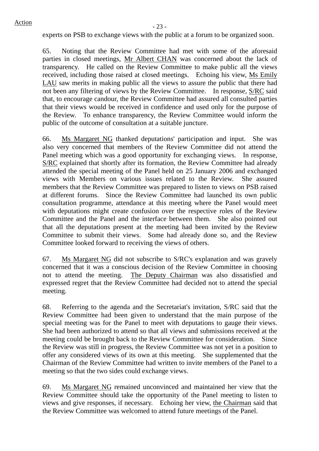experts on PSB to exchange views with the public at a forum to be organized soon.

65. Noting that the Review Committee had met with some of the aforesaid parties in closed meetings, Mr Albert CHAN was concerned about the lack of transparency. He called on the Review Committee to make public all the views received, including those raised at closed meetings. Echoing his view, Ms Emily LAU saw merits in making public all the views to assure the public that there had not been any filtering of views by the Review Committee. In response, S/RC said that, to encourage candour, the Review Committee had assured all consulted parties that their views would be received in confidence and used only for the purpose of the Review. To enhance transparency, the Review Committee would inform the public of the outcome of consultation at a suitable juncture.

66. Ms Margaret NG thanked deputations' participation and input. She was also very concerned that members of the Review Committee did not attend the Panel meeting which was a good opportunity for exchanging views. In response, S/RC explained that shortly after its formation, the Review Committee had already attended the special meeting of the Panel held on 25 January 2006 and exchanged views with Members on various issues related to the Review. She assured members that the Review Committee was prepared to listen to views on PSB raised at different forums. Since the Review Committee had launched its own public consultation programme, attendance at this meeting where the Panel would meet with deputations might create confusion over the respective roles of the Review Committee and the Panel and the interface between them. She also pointed out that all the deputations present at the meeting had been invited by the Review Committee to submit their views. Some had already done so, and the Review Committee looked forward to receiving the views of others.

67. Ms Margaret NG did not subscribe to S/RC's explanation and was gravely concerned that it was a conscious decision of the Review Committee in choosing not to attend the meeting. The Deputy Chairman was also dissatisfied and expressed regret that the Review Committee had decided not to attend the special meeting.

68. Referring to the agenda and the Secretariat's invitation, S/RC said that the Review Committee had been given to understand that the main purpose of the special meeting was for the Panel to meet with deputations to gauge their views. She had been authorized to attend so that all views and submissions received at the meeting could be brought back to the Review Committee for consideration. Since the Review was still in progress, the Review Committee was not yet in a position to offer any considered views of its own at this meeting. She supplemented that the Chairman of the Review Committee had written to invite members of the Panel to a meeting so that the two sides could exchange views.

69. Ms Margaret NG remained unconvinced and maintained her view that the Review Committee should take the opportunity of the Panel meeting to listen to views and give responses, if necessary. Echoing her view, the Chairman said that the Review Committee was welcomed to attend future meetings of the Panel.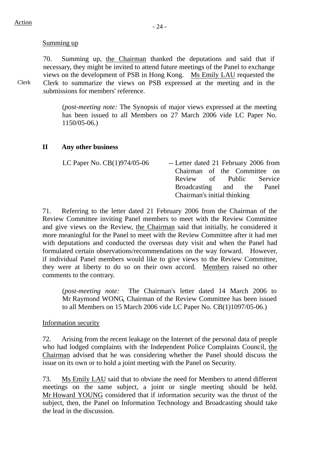#### Summing up

70. Summing up, the Chairman thanked the deputations and said that if necessary, they might be invited to attend future meetings of the Panel to exchange views on the development of PSB in Hong Kong. Ms Emily LAU requested the Clerk to summarize the views on PSB expressed at the meeting and in the submissions for members' reference.

(*post-meeting note:* The Synopsis of major views expressed at the meeting has been issued to all Members on 27 March 2006 vide LC Paper No. 1150/05-06.)

#### **II Any other business**

| LC Paper No. $CB(1)974/05-06$ | -- Letter dated 21 February 2006 from |  |                          |  |  |
|-------------------------------|---------------------------------------|--|--------------------------|--|--|
|                               | Chairman of the Committee on          |  |                          |  |  |
|                               |                                       |  | Review of Public Service |  |  |
|                               | Broadcasting and the Panel            |  |                          |  |  |
|                               | Chairman's initial thinking           |  |                          |  |  |

71. Referring to the letter dated 21 February 2006 from the Chairman of the Review Committee inviting Panel members to meet with the Review Committee and give views on the Review, the Chairman said that initially, he considered it more meaningful for the Panel to meet with the Review Committee after it had met with deputations and conducted the overseas duty visit and when the Panel had formulated certain observations/recommendations on the way forward. However, if individual Panel members would like to give views to the Review Committee, they were at liberty to do so on their own accord. Members raised no other comments to the contrary.

(*post-meeting note:* The Chairman's letter dated 14 March 2006 to Mr Raymond WONG, Chairman of the Review Committee has been issued to all Members on 15 March 2006 vide LC Paper No. CB(1)1097/05-06.)

#### Information security

72. Arising from the recent leakage on the Internet of the personal data of people who had lodged complaints with the Independent Police Complaints Council, the Chairman advised that he was considering whether the Panel should discuss the issue on its own or to hold a joint meeting with the Panel on Security.

73. Ms Emily LAU said that to obviate the need for Members to attend different meetings on the same subject, a joint or single meeting should be held. Mr Howard YOUNG considered that if information security was the thrust of the subject, then, the Panel on Information Technology and Broadcasting should take the lead in the discussion.

Clerk